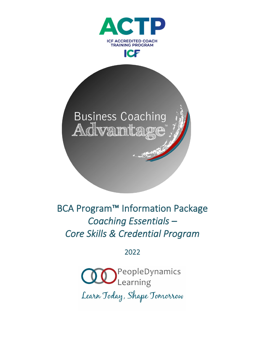



BCA Program™ Information Package *Coaching Essentials – Core Skills & Credential Program* 

2022

**OO**PeopleDynamics Learn Today, Shape Tomorrow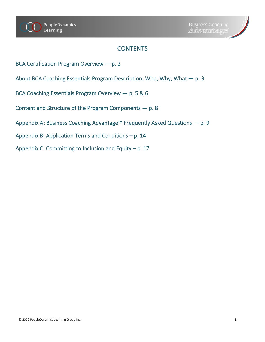# **CONTENTS**

- BCA Certification Program Overview p. 2
- About BCA Coaching Essentials Program Description: Who, Why, What p. 3
- BCA Coaching Essentials Program Overview p. 5 & 6
- Content and Structure of the Program Components p. 8
- Appendix A: Business Coaching Advantage™ Frequently Asked Questions p. 9
- Appendix B: Application Terms and Conditions p. 14
- Appendix C: Committing to Inclusion and Equity p. 17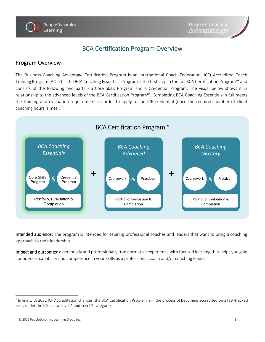

## BCA Certification Program Overview

### Program Overview

The Business Coaching Advantage Certification Program is an International Coach Federation (ICF) Accredited Coach Training Program (ACTP)<sup>1</sup>. The BCA Coaching Essentials Program is the first step in the full BCA Certification Program™ and consists of the following two parts - a Core Skills Program and a Credential Program. The visual below shows it in relationship to the advanced levels of the BCA Certification Program™. Completing BCA Coaching Essentials in full meets the training and evaluation requirements in order to apply for an ICF credential (once the required number of client coaching hours is met).



Intended audience: The program is intended for aspiring professional coaches and leaders that want to bring a coaching approach to their leadership.

Impact and outcomes: a personally and professionally transformative experience with focused learning that helps you gain confidence, capability and competence in your skills as a professional coach and/or coaching leader.

 $^1$  In line with 2022 ICF Accreditation changes, the BCA Certification Program is in the process of becoming accredited on a fast-tracked basis under the ICF's new Level 1 and Level 2 categories.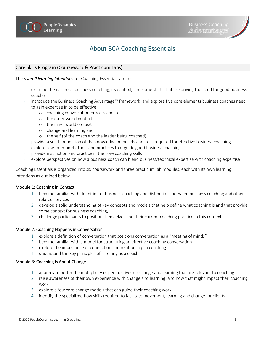

# About BCA Coaching Essentials

#### Core Skills Program (Coursework & Practicum Labs)

The *overall learning intentions* for Coaching Essentials are to:

- examine the nature of business coaching, its context, and some shifts that are driving the need for good business coaches
- › introduce the Business Coaching Advantage™ framework and explore five core elements business coaches need to gain expertise in to be effective:
	- o coaching conversation process and skills
	- o the outer world context
	- o the inner world context
	- o change and learning and
	- o the self (of the coach and the leader being coached)
- › provide a solid foundation of the knowledge, mindsets and skills required for effective business coaching
- explore a set of models, tools and practices that guide good business coaching
- › provide instruction and practice in the core coaching skills
- explore perspectives on how a business coach can blend business/technical expertise with coaching expertise

Coaching Essentials is organized into six coursework and three practicum lab modules, each with its own learning intentions as outlined below.

#### Module 1: Coaching in Context

- 1. become familiar with definition of business coaching and distinctions between business coaching and other related services
- 2. develop a solid understanding of key concepts and models that help define what coaching is and that provide some context for business coaching,
- 3. challenge participants to position themselves and their current coaching practice in this context

#### Module 2: Coaching Happens in Conversation

- 1. explore a definition of conversation that positions conversation as a "meeting of minds"
- 2. become familiar with a model for structuring an effective coaching conversation
- 3. explore the importance of connection and relationship in coaching
- 4. understand the key principles of listening as a coach

#### Module 3: Coaching is About Change

- 1. appreciate better the multiplicity of perspectives on change and learning that are relevant to coaching
- 2. raise awareness of their own experience with change and learning, and how that might impact their coaching work
- 3. explore a few core change models that can guide their coaching work
- 4. identify the specialized flow skills required to facilitate movement, learning and change for clients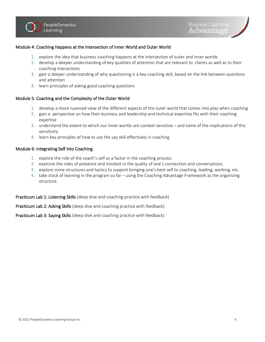#### Module 4: Coaching Happens at the Intersection of Inner World and Outer World

- 1. explore the idea that business coaching happens at the intersection of outer and inner worlds
- 2. develop a deeper understanding of key qualities of attention that are relevant to clients as well as to their coaching interactions
- 3. gain a deeper understanding of why questioning is a key coaching skill, based on the link between questions and attention
- 4. learn principles of asking good coaching questions

#### Module 5: Coaching and the Complexity of the Outer World

- 1. develop a more nuanced view of the different aspects of the outer world that comes into play when coaching
- 2. gain a perspective on how their business and leadership and technical expertise fits with their coaching expertise
- 3. understand the extent to which our inner worlds are context-sensitive and some of the implications of this sensitivity
- 4. learn key principles of how to use the say skill effectively in coaching

#### Module 6: Integrating Self into Coaching

- 1. explore the role of the coach's self as a factor in the coaching process
- 2. examine the roles of presence and mindset in the quality of one's connection and conversations.
- 3. explore some structures and tactics to support bringing one's best self to coaching, leading, working, etc.
- 4. take stock of learning in the program so far using the Coaching Advantage Framework as the organizing structure.

Practicum Lab 1: Listening Skills (deep dive and coaching practice with feedback)

Practicum Lab 2: Asking Skills (deep dive and coaching practice with feedback)

Practicum Lab 3: Saying Skills (deep dive and coaching practice with feedback)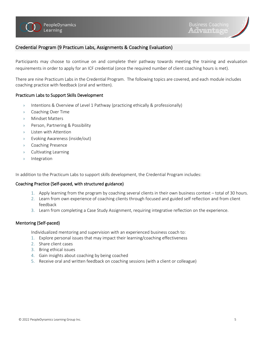#### Credential Program (9 Practicum Labs, Assignments & Coaching Evaluation)

Participants may choose to continue on and complete their pathway towards meeting the training and evaluation requirements in order to apply for an ICF credential (once the required number of client coaching hours is met).

There are nine Practicum Labs in the Credential Program. The following topics are covered, and each module includes coaching practice with feedback (oral and written).

#### Practicum Labs to Support Skills Development

- › Intentions & Overview of Level 1 Pathway (practicing ethically & professionally)
- › Coaching Over Time
- › Mindset Matters
- › Person, Partnering & Possibility
- Listen with Attention
- › Evoking Awareness (inside/out)
- › Coaching Presence
- › Cultivating Learning
- › Integration

In addition to the Practicum Labs to support skills development, the Credential Program includes:

#### Coaching Practice (Self-paced, with structured guidance)

- 1. Apply learning from the program by coaching several clients in their own business context total of 30 hours.
- 2. Learn from own experience of coaching clients through focused and guided self reflection and from client feedback
- 3. Learn from completing a Case Study Assignment, requiring integrative reflection on the experience.

#### Mentoring (Self-paced)

Individualized mentoring and supervision with an experienced business coach to:

- 1. Explore personal issues that may impact their learning/coaching effectiveness
- 2. Share client cases
- 3. Bring ethical issues
- 4. Gain insights about coaching by being coached
- 5. Receive oral and written feedback on coaching sessions (with a client or colleague)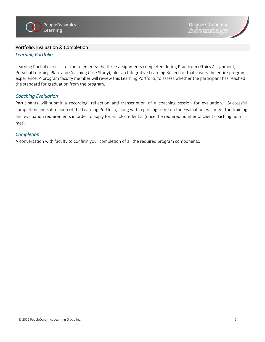#### Portfolio, Evaluation & Completion

#### *Learning Portfolio*

Learning Portfolio consist of four elements: the three assignments completed during Practicum (Ethics Assignment, Personal Learning Plan, and Coaching Case Study), plus an Integrative Learning Reflection that covers the entire program experience. A program faculty member will review this Learning Portfolio, to assess whether the participant has reached the standard for graduation from the program.

#### *Coaching Evaluation*

Participants will submit a recording, reflection and transcription of a coaching session for evaluation. Successful completion and submission of the Learning Portfolio, along with a passing score on the Evaluation, will meet the training and evaluation requirements in order to apply for an ICF credential (once the required number of client coaching hours is met).

#### *Completion*

A conversation with faculty to confirm your completion of all the required program components.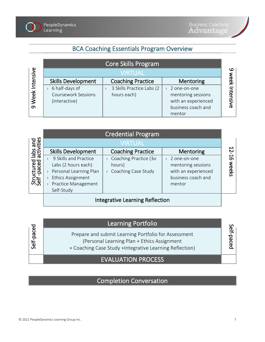

## BCA Coaching Essentials Program Overview

|                | Core Skills Program        |                           |                     |        |
|----------------|----------------------------|---------------------------|---------------------|--------|
|                | <b>VIRTUAL</b>             |                           |                     |        |
| Week Intensive | <b>Skills Development</b>  | <b>Coaching Practice</b>  | Mentoring           | መ<br>홋 |
|                | 6 half-days of             | 3 Skills Practice Labs (2 | 2 one-on-one        |        |
|                | <b>Coursework Sessions</b> | hours each)               | mentoring sessions  | mte    |
|                | (interactive)              |                           | with an experienced | nsiv   |
| ഗ              |                            |                           | business coach and  | ത്     |
|                |                            |                           | mentor              |        |

|                                                    | <b>Credential Program</b>                                                                                                               |                                                                     |                                                                                           |  |  |
|----------------------------------------------------|-----------------------------------------------------------------------------------------------------------------------------------------|---------------------------------------------------------------------|-------------------------------------------------------------------------------------------|--|--|
| labs and<br>activities<br>Structured<br>Self-paced | <b>VIRTUAL</b>                                                                                                                          |                                                                     |                                                                                           |  |  |
|                                                    | <b>Skills Development</b>                                                                                                               | <b>Coaching Practice</b>                                            | Mentoring                                                                                 |  |  |
|                                                    | 9 Skills and Practice<br>Labs (2 hours each)<br>Personal Learning Plan<br><b>Ethics Assignment</b><br>Practice Management<br>Self-Study | Coaching Practice (30<br>$\lambda$<br>hours)<br>Coaching Case Study | 2 one-on-one<br>mentoring sessions<br>with an experienced<br>business coach and<br>mentor |  |  |
|                                                    | Integrative Learning Reflection                                                                                                         |                                                                     |                                                                                           |  |  |

# Learning Portfolio

Prepare and submit Learning Portfolio for Assessment (Personal Learning Plan + Ethics Assignment

+ Coaching Case Study +Integrative Learning Reflection)

## EVALUATION PROCESS

Completion Conversation

Self-paced

Self-paced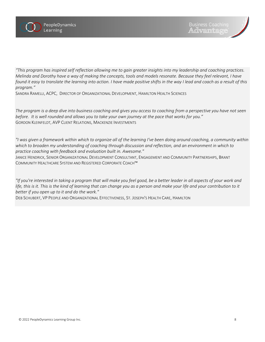

*"This program has inspired self reflection allowing me to gain greater insights into my leadership and coaching practices. Melinda and Dorothy have a way of making the concepts, tools and models resonate. Because they feel relevant, I have found it easy to translate the learning into action. I have made positive shifts in the way I lead and coach as a result of this program."*

SANDRA RAMELLI, ACPC, DIRECTOR OF ORGANIZATIONAL DEVELOPMENT, HAMILTON HEALTH SCIENCES

*The program is a deep dive into business coaching and gives you access to coaching from a perspective you have not seen before. It is well rounded and allows you to take your own journey at the pace that works for you."* GORDON KLEINFELDT, AVP CLIENT RELATIONS, MACKENZIE INVESTMENTS

*"I was given a framework within which to organize all of the learning I've been doing around coaching, a community within which to broaden my understanding of coaching through discussion and reflection, and an environment in which to practice coaching with feedback and evaluation built in. Awesome."*

JANICE HENDRICK, SENIOR ORGANIZATIONAL DEVELOPMENT CONSULTANT, ENGAGEMENT AND COMMUNITY PARTNERSHIPS, BRANT COMMUNITY HEALTHCARE SYSTEM AND REGISTERED CORPORATE COACH™

*"If you're interested in taking a program that will make you feel good, be a better leader in all aspects of your work and life, this is it. This is the kind of learning that can change you as a person and make your life and your contribution to it better if you open up to it and do the work."*

DEB SCHUBERT, VP PEOPLE AND ORGANIZATIONAL EFFECTIVENESS, ST. JOSEPH'S HEALTH CARE, HAMILTON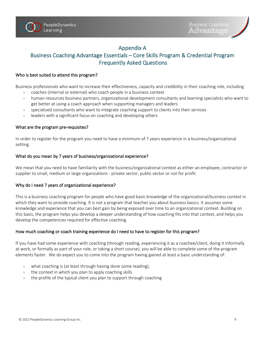### Appendix A

## Business Coaching Advantage Essentials – Core Skills Program & Credential Program Frequently Asked Questions

#### Who is best suited to attend this program?

Business professionals who want to increase their effectiveness, capacity and credibility in their coaching role, including

- › coaches (internal or external) who coach people in a business context
- › human resources business partners, organizational development consultants and learning specialists who want to get better at using a coach approach when supporting managers and leaders
- $\rightarrow$  specialized consultants who want to integrate coaching support to clients into their services
- $\rightarrow$  leaders with a significant focus on coaching and developing others

#### What are the program pre-requisites?

In order to register for the program you need to have a minimum of 7 years experience in a business/organizational setting.

#### What do you mean by 7 years of business/organizational experience?

We mean that you need to have familiarity with the business/organizational context as either an employee, contractor or supplier to small, medium or large organizations - private sector, public sector or not for profit.

#### Why do I need 7 years of organizational experience?

This is a business coaching program for people who have good basic knowledge of the organizational/business context in which they want to provide coaching. It is not a program that teaches you about business basics. It assumes some knowledge and experience that you can best gain by being exposed over time to an organizational context. Building on this basis, the program helps you develop a deeper understanding of how coaching fits into that context, and helps you develop the competencies required for effective coaching.

#### How much coaching or coach training experience do I need to have to register for this program?

If you have had some experience with coaching (through reading, experiencing it as a coachee/client, doing it informally at work, or formally as part of your role, or taking a short course), you will be able to complete some of the program elements faster. We do expect you to come into the program having gained at least a basic understanding of:

- $\rightarrow$  what coaching is (at least through having done some reading),
- $\rightarrow$  the context in which you plan to apply coaching skills
- $\rightarrow$  the profile of the typical client you plan to support through coaching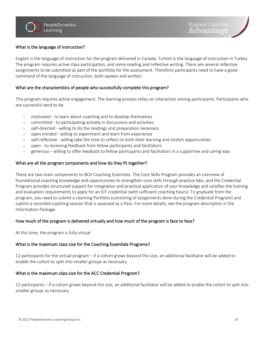#### What is the language of instruction?

English is the language of instruction for the program delivered in Canada. Turkish is the language of instruction in Turkey. The program requires active class participation, and some reading and reflective writing. There are several reflective assignments to be submitted as part of the portfolio for the assessment. Therefore participants need to have a good command of the language of instruction, both spoken and written.

#### What are the characteristics of people who successfully complete this program?

This program requires active engagement. The learning process relies on interaction among participants. Participants who are successful tend to be:

- › motivated to learn about coaching and to develop themselves
- › committed to participating actively in discussions and activities
- › self-directed willing to do the readings and preparation necessary
- › open minded willing to experiment and learn from experience
- › self-reflective willing take the time to reflect on both their learning and stretch opportunities
- › open to receiving feedback from fellow participants and facilitators
- › generous willing to offer feedback to fellow participants and facilitators in a supportive and caring way

#### What are all the program components and how do they fit together?

There are two main components to BCA Coaching Essentials. The Core Skills Program provides an overview of foundational coaching knowledge and opportunities to strengthen core skills through practice labs, and the Credential Program provides structured support for integration and practical application of your knowledge and satisfies the training and evaluation requirements to apply for an ICF credential (with sufficient coaching hours). To graduate from the program, you need to submit a Learning Portfolio (consisting of assignments done during the Credential Program) and submit a recorded coaching session that is assessed as a Pass. For more details, see the program description in the Information Package.

#### How much of the program is delivered virtually and how much of the program is face to face?

At this time, the program is fully virtual.

#### What is the maximum class size for the Coaching Essentials Programs?

12 participants for the virtual program – if a cohort grows beyond this size, an additional facilitator will be added to enable the cohort to split into smaller groups as necessary.

#### What is the maximum class size for the ACC Credential Program?

12 participants – if a cohort grows beyond this size, an additional facilitator will be added to enable the cohort to split into smaller groups as necessary.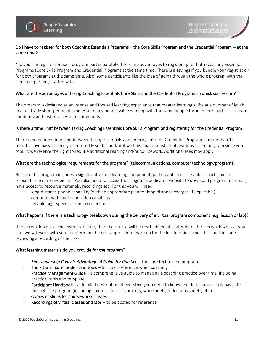#### Do I have to register for both Coaching Essentials Programs – the Core Skills Program and the Credential Program -- at the same time?

No, you can register for each program part separately. There are advantages to registering for both Coaching Essentials Programs (Core Skills Program and Credential Program) at the same time. There is a savings if you bundle your registration for both programs at the same time. Also, some participants like the idea of going through the whole program with the same people they started with.

#### What are the advantages of taking Coaching Essentials Core Skills and the Credential Programs in quick succession?

The program is designed as an intense and focused learning experience that creates learning shifts at a number of levels in a relatively short period of time. Also, many people value working with the same people through both parts as it creates continuity and fosters a sense of community.

#### Is there a time limit between taking Coaching Essentials Core Skills Program and registering for the Credential Program?

There is no defined time limit between taking Essentials and entering into the Credential Program. If more than 12 months have passed since you entered Essential and/or if we have made substantial revisions to the program since you took it, we reserve the right to require additional reading and/or coursework. Additional fees may apply.

#### What are the technological requirements for the program? (telecommunications, computer technology/programs)

Because this program includes a significant virtual learning component, participants must be able to participate in teleconference and webinars. You also need to access the program's dedicated website to download program materials, have access to resource materials, recordings etc. For this you will need:

- › long-distance phone capability (with an appropriate plan for long-distance charges, if applicable)
- $\rightarrow$  computer with audio and video capability
- › reliable high-speed internet connection

### What happens if there is a technology breakdown during the delivery of a virtual program component (e.g. lesson or lab)?

If the breakdown is at the instructor's site, then the course will be rescheduled at a later date. If the breakdown is at your site, we will work with you to determine the best approach to make up for the lost learning time. This could include reviewing a recording of the class.

#### What learning materials do you provide for the program?

- › *The Leadership Coach's Advantage. A Guide for Practice* the core text for the program
- $\rightarrow$  Toolkit with core models and tools for quick reference when coaching
- $\rightarrow$  Practice Management Guide a comprehensive guide to managing a coaching practice over time, including practical tools and template
- > Participant Handbook a detailed description of everything you need to know and do to successfully navigate through the program (including guidance for assignments, worksheets, reflections sheets, etc.)
- $\rightarrow$  Copies of slides for coursework/ classes
- $\rightarrow$  Recordings of virtual classes and labs to be posted for reference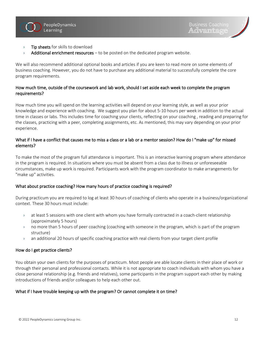

- > Tip sheets for skills to download
- $\rightarrow$  Additional enrichment resources to be posted on the dedicated program website.

We will also recommend additional optional books and articles if you are keen to read more on some elements of business coaching. However, you do not have to purchase any additional material to successfully complete the core program requirements.

#### How much time, outside of the coursework and lab work, should I set aside each week to complete the program requirements?

How much time you will spend on the learning activities will depend on your learning style, as well as your prior knowledge and experience with coaching. We suggest you plan for about 5-10 hours per week in addition to the actual time in classes or labs. This includes time for coaching your clients, reflecting on your coaching , reading and preparing for the classes, practicing with a peer, completing assignments, etc. As mentioned, this may vary depending on your prior experience.

#### What if I have a conflict that causes me to miss a class or a lab or a mentor session? How do I "make up" for missed elements?

To make the most of the program full attendance is important. This is an interactive learning program where attendance in the program is required. In situations where you must be absent from a class due to illness or unforeseeable circumstances, make up work is required. Participants work with the program coordinator to make arrangements for "make up" activities.

#### What about practice coaching? How many hours of practice coaching is required?

During practicum you are required to log at least 30 hours of coaching of clients who operate in a business/organizational context. These 30 hours must include:

- $\rightarrow$  at least 5 sessions with one client with whom you have formally contracted in a coach-client relationship (approximately 5 hours)
- › no more than 5 hours of peer coaching (coaching with someone in the program, which is part of the program structure)
- › an additional 20 hours of specific coaching practice with real clients from your target client profile

#### How do I get practice clients?

You obtain your own clients for the purposes of practicum. Most people are able locate clients in their place of work or through their personal and professional contacts. While it is not appropriate to coach individuals with whom you have a close personal relationship (e.g. friends and relatives), some participants in the program support each other by making introductions of friends and/or colleagues to help each other out.

#### What if I have trouble keeping up with the program? Or cannot complete it on time?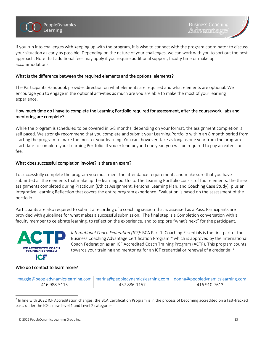



If you run into challenges with keeping up with the program, it is wise to connect with the program coordinator to discuss your situation as early as possible. Depending on the nature of your challenges, we can work with you to sort out the best approach. Note that additional fees may apply if you require additional support, faculty time or make up accommodations.

#### What is the difference between the required elements and the optional elements?

The Participants Handbook provides direction on what elements are required and what elements are optional. We encourage you to engage in the optional activities as much are you are able to make the most of your learning experience.

#### How much time do I have to complete the Learning Portfolio required for assessment, after the coursework, labs and mentoring are complete?

While the program is scheduled to be covered in 6-8 months, depending on your format, the assignment completion is self paced. We strongly recommend that you complete and submit your Learning Portfolio within an 8 month period from starting the program to make the most of your learning. You can, however, take as long as one year from the program start date to complete your Learning Portfolio. If you extend beyond one year, you will be required to pay an extension fee.

#### What does successful completion involve? Is there an exam?

To successfully complete the program you must meet the attendance requirements and make sure that you have submitted all the elements that make up the learning portfolio. The Learning Portfolio consist of four elements: the three assignments completed during Practicum (Ethics Assignment, Personal Learning Plan, and Coaching Case Study), plus an Integrative Learning Reflection that covers the entire program experience. Evaluation is based on the assessment of the portfolio.

Participants are also required to submit a recording of a coaching session that is assessed as a Pass. Participants are provided with guidelines for what makes a successful submission. The final step is a Completion conversation with a faculty member to celebrate learning, to reflect on the experience, and to explore "what's next" for the participant.



*International Coach Federation (ICF)*: BCA Part 1: Coaching Essentials is the first part of the Business Coaching Advantage Certification Program™ which is approved by the International Coach Federation as an ICF Accredited Coach Training Program (ACTP). This program counts towards your training and mentoring for an ICF credential or renewal of a credential.<sup>2</sup>

#### Who do I contact to learn more?

|              | $m$ aggie@peopledynamicslearning.com   marina@peopledynamicslearning.com   donna@peopledynamicslearning.com |              |
|--------------|-------------------------------------------------------------------------------------------------------------|--------------|
| 416 988-5115 | 437 886-1157                                                                                                | 416 910-7613 |

 $^2$  In line with 2022 ICF Accreditation changes, the BCA Certification Program is in the process of becoming accredited on a fast-tracked basis under the ICF's new Level 1 and Level 2 categories.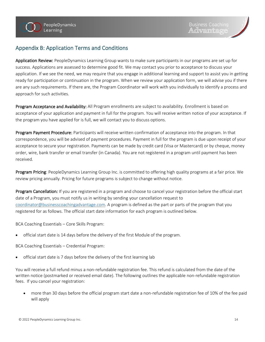## Appendix B: Application Terms and Conditions

Application Review: PeopleDynamics Learning Group wants to make sure participants in our programs are set up for success. Applications are assessed to determine good fit. We may contact you prior to acceptance to discuss your application. If we see the need, we may require that you engage in additional learning and support to assist you in getting ready for participation or continuation in the program. When we review your application form, we will advise you if there are any such requirements. If there are, the Program Coordinator will work with you individually to identify a process and approach for such activities.

Program Acceptance and Availability: All Program enrollments are subject to availability. Enrollment is based on acceptance of your application and payment in full for the program. You will receive written notice of your acceptance. If the program you have applied for is full, we will contact you to discuss options.

Program Payment Procedure: Participants will receive written confirmation of acceptance into the program. In that correspondence, you will be advised of payment procedures. Payment in full for the program is due upon receipt of your acceptance to secure your registration. Payments can be made by credit card (Visa or Mastercard) or by cheque, money order, wire, bank transfer or email transfer (in Canada). You are not registered in a program until payment has been received.

Program Pricing: PeopleDynamics Learning Group Inc. is committed to offering high quality programs at a fair price. We review pricing annually. Pricing for future programs is subject to change without notice.

Program Cancellation*:* If you are registered in a program and choose to cancel your registration before the official start date of a Program, you must notify us in writing by sending your cancellation request to [coordinator@businesscoachingadvantage.com.](mailto:coordinator@businesscoachingadvantage.com) A program is defined as the part or parts of the program that you registered for as follows. The official start date information for each program is outlined below.

BCA Coaching Essentials – Core Skills Program:

• official start date is 14 days before the delivery of the first Module of the program.

BCA Coaching Essentials – Credential Program:

• official start date is 7 days before the delivery of the first learning lab

You will receive a full refund minus a non-refundable registration fee. This refund is calculated from the date of the written notice (postmarked or received email date). The following outlines the applicable non-refundable registration fees. If you cancel your registration:

• more than 30 days before the official program start date a non-refundable registration fee of 10% of the fee paid will apply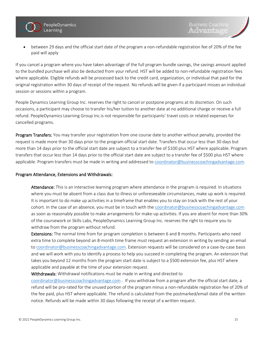

• between 29 days and the official start date of the program a non-refundable registration fee of 20% of the fee paid will apply

If you cancel a program where you have taken advantage of the full program bundle savings, the savings amount applied to the bundled purchase will also be deducted from your refund. HST will be added to non-refundable registration fees where applicable. Eligible refunds will be processed back to the credit card, organization, or individual that paid for the original registration within 30 days of receipt of the request. No refunds will be given if a participant misses an individual session or sessions within a program.

People Dynamics Learning Group Inc. reserves the right to cancel or postpone programs at its discretion. On such occasions, a participant may choose to transfer his/her tuition to another date at no additional charge or receive a full refund. PeopleDynamics Learning Group Inc.is not responsible for participants' travel costs or related expenses for cancelled programs.

Program Transfers: You may transfer your registration from one course date to another without penalty, provided the request is made more than 30 days prior to the program official start date. Transfers that occur less than 30 days but more than 14 days prior to the official start date are subject to a transfer fee of \$100 plus HST where applicable. Program transfers that occur less than 14 days prior to the official start date are subject to a transfer fee of \$500 plus HST where applicable. Program transfers must be made in writing and addressed to [coordinator@businesscoachingadvantage.com.](mailto:coordinator@businesscoachingadvantage.com)

#### Program Attendance, Extensions and Withdrawals:

Attendance: This is an interactive learning program where attendance in the program is required. In situations where you must be absent from a class due to illness or unforeseeable circumstances, make up work is required. It is important to do make up activities in a timeframe that enables you to stay on track with the rest of your cohort. In the case of an absence, you must be in touch with the [coordinator@businesscoachingadvantage.com](mailto:coordinator@businesscoachingadvantage.com) as soon as reasonably possible to make arrangements for make-up activities. If you are absent for more than 30% of the coursework or Skills Labs, PeopleDynamics Learning Group Inc. reserves the right to require you to withdraw from the program without refund.

Extensions: The normal time from for program completion is between 6 and 8 months. Participants who need extra time to complete beyond an 8-month time frame must request an extension in writing by sending an email to [coordinator@businesscoachingadvantage.com.](mailto:coordinator@businesscoachingadvantage.com) Extension requests will be considered on a case-by-case basis and we will work with you to identify a process to help you succeed in completing the program. An extension that takes you beyond 12 months from the program start date is subject to a \$500 extension fee, plus HST where applicable and payable at the time of your extension request.

#### Withdrawals: Withdrawal notifications must be made in writing and directed to

[coordinator@businesscoachingadvantage.com](mailto:coordinator@businesscoachingadvantage.com) . If you withdraw from a program after the official start date, a refund will be pro-rated for the unused portion of the program minus a non-refundable registration fee of 20% of the fee paid, plus HST where applicable. The refund is calculated from the postmarked/email date of the written notice. Refunds will be made within 30 days following the receipt of a written request.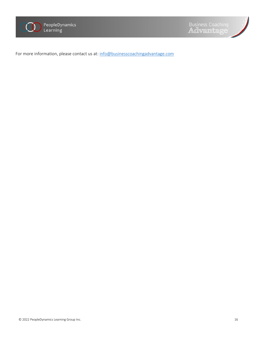